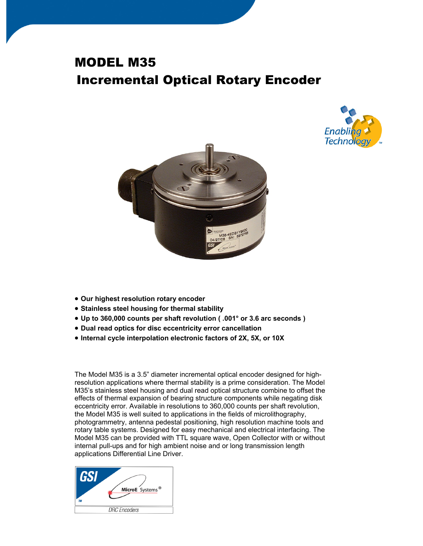## MODEL M35 Incremental Optical Rotary Encoder





- **Our highest resolution rotary encoder**
- **Stainless steel housing for thermal stability**
- **Up to 360,000 counts per shaft revolution ( .001° or 3.6 arc seconds )**
- **Dual read optics for disc eccentricity error cancellation**
- **Internal cycle interpolation electronic factors of 2X, 5X, or 10X**

The Model M35 is a 3.5" diameter incremental optical encoder designed for highresolution applications where thermal stability is a prime consideration. The Model M35's stainless steel housing and dual read optical structure combine to offset the effects of thermal expansion of bearing structure components while negating disk eccentricity error. Available in resolutions to 360,000 counts per shaft revolution, the Model M35 is well suited to applications in the fields of microlithography, photogrammetry, antenna pedestal positioning, high resolution machine tools and rotary table systems. Designed for easy mechanical and electrical interfacing. The Model M35 can be provided with TTL square wave, Open Collector with or without internal pull-ups and for high ambient noise and or long transmission length applications Differential Line Driver.

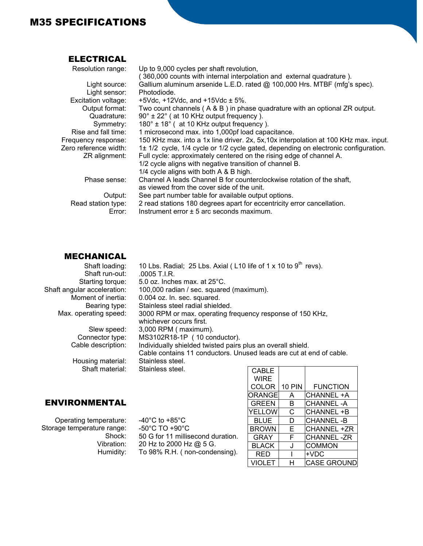## M35 SPECIFICATIONS

## ELECTRICAL

| Resolution range:     | Up to 9,000 cycles per shaft revolution,                                             |
|-----------------------|--------------------------------------------------------------------------------------|
|                       | 360,000 counts with internal interpolation and external quadrature).                 |
| Light source:         | Gallium aluminum arsenide L.E.D. rated @ 100,000 Hrs. MTBF (mfg's spec).             |
| Light sensor:         | Photodiode.                                                                          |
| Excitation voltage:   | +5Vdc, +12Vdc, and +15Vdc $\pm$ 5%.                                                  |
| Output format:        | Two count channels $(A \& B)$ in phase quadrature with an optional ZR output.        |
| Quadrature:           | $90^\circ \pm 22^\circ$ (at 10 KHz output frequency).                                |
| Symmetry:             | 180° ± 18° (at 10 KHz output frequency).                                             |
| Rise and fall time:   | 1 microsecond max. into 1,000pf load capacitance.                                    |
| Frequency response:   | 150 KHz max. into a 1x line driver. 2x, 5x, 10x interpolation at 100 KHz max. input. |
| Zero reference width: | 1± 1/2 cycle, 1/4 cycle or 1/2 cycle gated, depending on electronic configuration.   |
| ZR alignment:         | Full cycle: approximately centered on the rising edge of channel A.                  |
|                       | 1/2 cycle aligns with negative transition of channel B.                              |
|                       | 1/4 cycle aligns with both A & B high.                                               |
| Phase sense:          | Channel A leads Channel B for counterclockwise rotation of the shaft,                |
|                       | as viewed from the cover side of the unit.                                           |
| Output:               | See part number table for available output options.                                  |
| Read station type:    | 2 read stations 180 degrees apart for eccentricity error cancellation.               |
| Error:                | Instrument error $\pm$ 5 arc seconds maximum.                                        |
|                       |                                                                                      |

## MECHANICAL

| Shaft loading:<br>Shaft run-out: | 10 Lbs. Radial; 25 Lbs. Axial (L10 life of 1 x 10 to 9 <sup>th</sup> revs).<br>.0005 T.I.R. |               |               |                   |
|----------------------------------|---------------------------------------------------------------------------------------------|---------------|---------------|-------------------|
| Starting torque:                 | 5.0 oz. Inches max. at 25°C.                                                                |               |               |                   |
| Shaft angular acceleration:      | 100,000 radian / sec. squared (maximum).                                                    |               |               |                   |
| Moment of inertia:               | 0.004 oz. In. sec. squared.                                                                 |               |               |                   |
| Bearing type:                    | Stainless steel radial shielded.                                                            |               |               |                   |
| Max. operating speed:            | 3000 RPM or max. operating frequency response of 150 KHz,                                   |               |               |                   |
|                                  | whichever occurs first.                                                                     |               |               |                   |
| Slew speed:                      | 3,000 RPM ( maximum).                                                                       |               |               |                   |
| Connector type:                  | MS3102R18-1P (10 conductor).                                                                |               |               |                   |
| Cable description:               | Individually shielded twisted pairs plus an overall shield.                                 |               |               |                   |
|                                  | Cable contains 11 conductors. Unused leads are cut at end of cable.                         |               |               |                   |
| Housing material:                | Stainless steel.                                                                            |               |               |                   |
| Shaft material:                  | Stainless steel.                                                                            | <b>CABLE</b>  |               |                   |
|                                  |                                                                                             | <b>WIRE</b>   |               |                   |
|                                  |                                                                                             | <b>COLOR</b>  | <b>10 PIN</b> | <b>FUNCTION</b>   |
|                                  |                                                                                             | <b>ORANGE</b> | A             | CHANNEL +A        |
| <b>ENVIRONMENTAL</b>             |                                                                                             | <b>GREEN</b>  | B             | <b>CHANNEL-A</b>  |
|                                  |                                                                                             | <b>YELLOW</b> | С             | <b>CHANNEL +B</b> |
| Operating temperature:           | -40 $^{\circ}$ C to +85 $^{\circ}$ C                                                        | <b>BLUE</b>   | D             | <b>CHANNEL-B</b>  |
| Storage temperature range:       | $-50^{\circ}$ C TO $+90^{\circ}$ C                                                          | <b>BROWN</b>  | E             | CHANNEL +ZR       |
| Shock:                           | 50 G for 11 millisecond duration.                                                           | GRAY          | F             | <b>CHANNEL-ZR</b> |

Storage temperature range: Shock: Vibration: Humidity:

-50°C TO +90°C 50 G for 11 millisecond duration. 20 Hz to 2000 Hz @ 5 G. To 98% R.H. ( non-condensing).

GRAY F CHANNEL-ZR<br>BLACK J COMMON J COMMON

VIOLET | H CASE GROUND

RED | | | +VDC